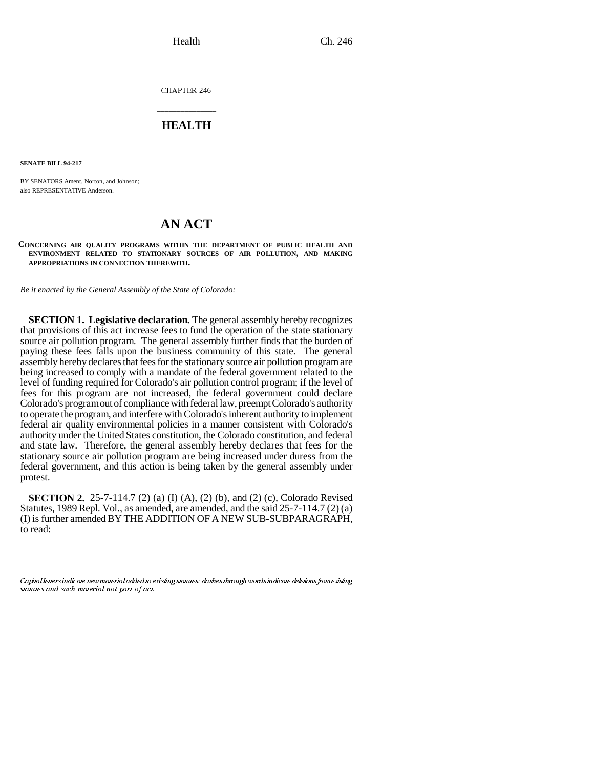CHAPTER 246

### \_\_\_\_\_\_\_\_\_\_\_\_\_\_\_ **HEALTH** \_\_\_\_\_\_\_\_\_\_\_\_\_\_\_

**SENATE BILL 94-217**

BY SENATORS Ament, Norton, and Johnson; also REPRESENTATIVE Anderson.

# **AN ACT**

**CONCERNING AIR QUALITY PROGRAMS WITHIN THE DEPARTMENT OF PUBLIC HEALTH AND ENVIRONMENT RELATED TO STATIONARY SOURCES OF AIR POLLUTION, AND MAKING APPROPRIATIONS IN CONNECTION THEREWITH.**

*Be it enacted by the General Assembly of the State of Colorado:*

**SECTION 1. Legislative declaration.** The general assembly hereby recognizes that provisions of this act increase fees to fund the operation of the state stationary source air pollution program. The general assembly further finds that the burden of paying these fees falls upon the business community of this state. The general assembly hereby declares that fees for the stationary source air pollution program are being increased to comply with a mandate of the federal government related to the level of funding required for Colorado's air pollution control program; if the level of fees for this program are not increased, the federal government could declare Colorado's program out of compliance with federal law, preempt Colorado's authority to operate the program, and interfere with Colorado's inherent authority to implement federal air quality environmental policies in a manner consistent with Colorado's authority under the United States constitution, the Colorado constitution, and federal and state law. Therefore, the general assembly hereby declares that fees for the stationary source air pollution program are being increased under duress from the federal government, and this action is being taken by the general assembly under protest.

**SECTION 2.** 25-7-114.7 (2) (a) (I) (A), (2) (b), and (2) (c), Colorado Revised Statutes, 1989 Repl. Vol., as amended, are amended, and the said 25-7-114.7 (2) (a) (I) is further amended BY THE ADDITION OF A NEW SUB-SUBPARAGRAPH, to read:

Capital letters indicate new material added to existing statutes; dashes through words indicate deletions from existing statutes and such material not part of act.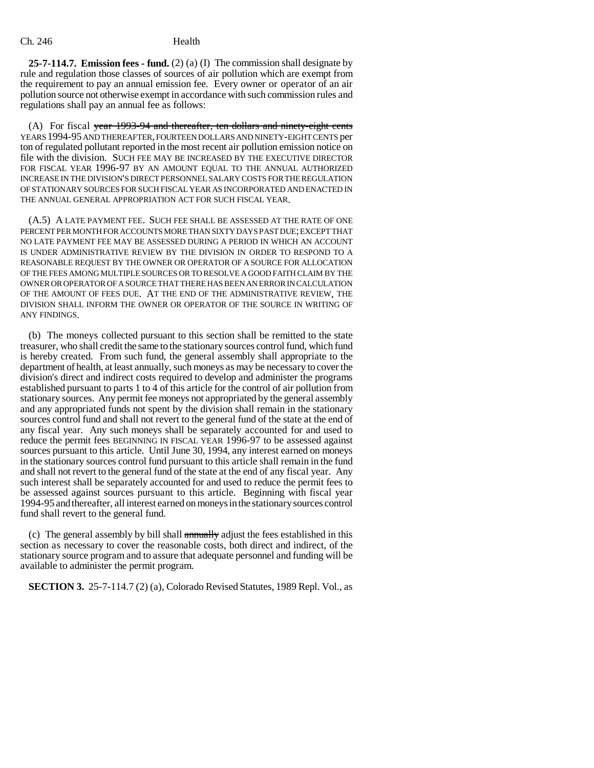**25-7-114.7. Emission fees - fund.** (2) (a) (I) The commission shall designate by rule and regulation those classes of sources of air pollution which are exempt from the requirement to pay an annual emission fee. Every owner or operator of an air pollution source not otherwise exempt in accordance with such commission rules and regulations shall pay an annual fee as follows:

(A) For fiscal year 1993-94 and thereafter, ten dollars and ninety-eight cents YEARS 1994-95 AND THEREAFTER, FOURTEEN DOLLARS AND NINETY-EIGHT CENTS per ton of regulated pollutant reported in the most recent air pollution emission notice on file with the division. SUCH FEE MAY BE INCREASED BY THE EXECUTIVE DIRECTOR FOR FISCAL YEAR 1996-97 BY AN AMOUNT EQUAL TO THE ANNUAL AUTHORIZED INCREASE IN THE DIVISION'S DIRECT PERSONNEL SALARY COSTS FOR THE REGULATION OF STATIONARY SOURCES FOR SUCH FISCAL YEAR AS INCORPORATED AND ENACTED IN THE ANNUAL GENERAL APPROPRIATION ACT FOR SUCH FISCAL YEAR.

(A.5) A LATE PAYMENT FEE. SUCH FEE SHALL BE ASSESSED AT THE RATE OF ONE PERCENT PER MONTH FOR ACCOUNTS MORE THAN SIXTY DAYS PAST DUE; EXCEPT THAT NO LATE PAYMENT FEE MAY BE ASSESSED DURING A PERIOD IN WHICH AN ACCOUNT IS UNDER ADMINISTRATIVE REVIEW BY THE DIVISION IN ORDER TO RESPOND TO A REASONABLE REQUEST BY THE OWNER OR OPERATOR OF A SOURCE FOR ALLOCATION OF THE FEES AMONG MULTIPLE SOURCES OR TO RESOLVE A GOOD FAITH CLAIM BY THE OWNER OR OPERATOR OF A SOURCE THAT THERE HAS BEEN AN ERROR IN CALCULATION OF THE AMOUNT OF FEES DUE. AT THE END OF THE ADMINISTRATIVE REVIEW, THE DIVISION SHALL INFORM THE OWNER OR OPERATOR OF THE SOURCE IN WRITING OF ANY FINDINGS.

(b) The moneys collected pursuant to this section shall be remitted to the state treasurer, who shall credit the same to the stationary sources control fund, which fund is hereby created. From such fund, the general assembly shall appropriate to the department of health, at least annually, such moneys as may be necessary to cover the division's direct and indirect costs required to develop and administer the programs established pursuant to parts 1 to 4 of this article for the control of air pollution from stationary sources. Any permit fee moneys not appropriated by the general assembly and any appropriated funds not spent by the division shall remain in the stationary sources control fund and shall not revert to the general fund of the state at the end of any fiscal year. Any such moneys shall be separately accounted for and used to reduce the permit fees BEGINNING IN FISCAL YEAR 1996-97 to be assessed against sources pursuant to this article. Until June 30, 1994, any interest earned on moneys in the stationary sources control fund pursuant to this article shall remain in the fund and shall not revert to the general fund of the state at the end of any fiscal year. Any such interest shall be separately accounted for and used to reduce the permit fees to be assessed against sources pursuant to this article. Beginning with fiscal year 1994-95 and thereafter, all interest earned on moneys in the stationary sources control fund shall revert to the general fund.

(c) The general assembly by bill shall annually adjust the fees established in this section as necessary to cover the reasonable costs, both direct and indirect, of the stationary source program and to assure that adequate personnel and funding will be available to administer the permit program.

**SECTION 3.** 25-7-114.7 (2) (a), Colorado Revised Statutes, 1989 Repl. Vol., as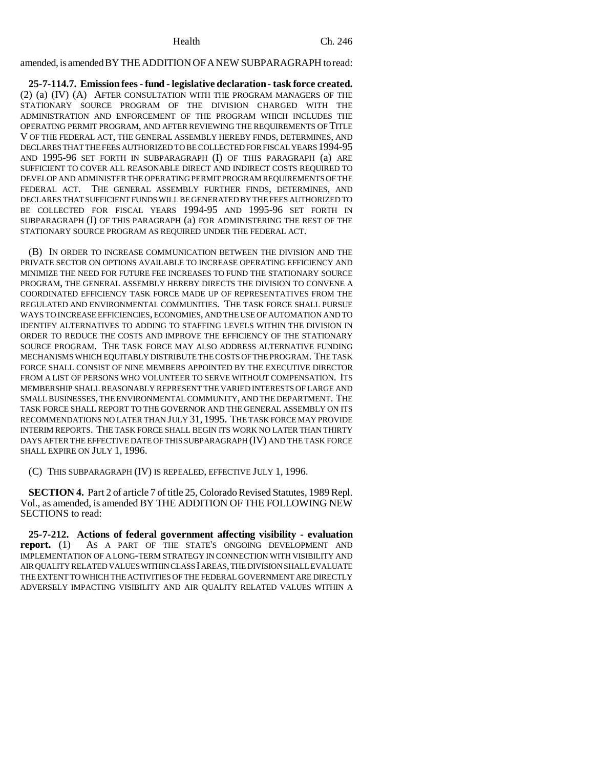## amended, is amended BY THE ADDITION OF A NEW SUBPARAGRAPH to read:

**25-7-114.7. Emission fees - fund - legislative declaration - task force created.** (2) (a) (IV) (A) AFTER CONSULTATION WITH THE PROGRAM MANAGERS OF THE STATIONARY SOURCE PROGRAM OF THE DIVISION CHARGED WITH THE ADMINISTRATION AND ENFORCEMENT OF THE PROGRAM WHICH INCLUDES THE OPERATING PERMIT PROGRAM, AND AFTER REVIEWING THE REQUIREMENTS OF TITLE V OF THE FEDERAL ACT, THE GENERAL ASSEMBLY HEREBY FINDS, DETERMINES, AND DECLARES THAT THE FEES AUTHORIZED TO BE COLLECTED FOR FISCAL YEARS 1994-95 AND 1995-96 SET FORTH IN SUBPARAGRAPH (I) OF THIS PARAGRAPH (a) ARE SUFFICIENT TO COVER ALL REASONABLE DIRECT AND INDIRECT COSTS REQUIRED TO DEVELOP AND ADMINISTER THE OPERATING PERMIT PROGRAM REQUIREMENTS OF THE FEDERAL ACT. THE GENERAL ASSEMBLY FURTHER FINDS, DETERMINES, AND DECLARES THAT SUFFICIENT FUNDS WILL BE GENERATED BY THE FEES AUTHORIZED TO BE COLLECTED FOR FISCAL YEARS 1994-95 AND 1995-96 SET FORTH IN SUBPARAGRAPH (I) OF THIS PARAGRAPH (a) FOR ADMINISTERING THE REST OF THE STATIONARY SOURCE PROGRAM AS REQUIRED UNDER THE FEDERAL ACT.

(B) IN ORDER TO INCREASE COMMUNICATION BETWEEN THE DIVISION AND THE PRIVATE SECTOR ON OPTIONS AVAILABLE TO INCREASE OPERATING EFFICIENCY AND MINIMIZE THE NEED FOR FUTURE FEE INCREASES TO FUND THE STATIONARY SOURCE PROGRAM, THE GENERAL ASSEMBLY HEREBY DIRECTS THE DIVISION TO CONVENE A COORDINATED EFFICIENCY TASK FORCE MADE UP OF REPRESENTATIVES FROM THE REGULATED AND ENVIRONMENTAL COMMUNITIES. THE TASK FORCE SHALL PURSUE WAYS TO INCREASE EFFICIENCIES, ECONOMIES, AND THE USE OF AUTOMATION AND TO IDENTIFY ALTERNATIVES TO ADDING TO STAFFING LEVELS WITHIN THE DIVISION IN ORDER TO REDUCE THE COSTS AND IMPROVE THE EFFICIENCY OF THE STATIONARY SOURCE PROGRAM. THE TASK FORCE MAY ALSO ADDRESS ALTERNATIVE FUNDING MECHANISMS WHICH EQUITABLY DISTRIBUTE THE COSTS OF THE PROGRAM. THE TASK FORCE SHALL CONSIST OF NINE MEMBERS APPOINTED BY THE EXECUTIVE DIRECTOR FROM A LIST OF PERSONS WHO VOLUNTEER TO SERVE WITHOUT COMPENSATION. ITS MEMBERSHIP SHALL REASONABLY REPRESENT THE VARIED INTERESTS OF LARGE AND SMALL BUSINESSES, THE ENVIRONMENTAL COMMUNITY, AND THE DEPARTMENT. THE TASK FORCE SHALL REPORT TO THE GOVERNOR AND THE GENERAL ASSEMBLY ON ITS RECOMMENDATIONS NO LATER THAN JULY 31, 1995. THE TASK FORCE MAY PROVIDE INTERIM REPORTS. THE TASK FORCE SHALL BEGIN ITS WORK NO LATER THAN THIRTY DAYS AFTER THE EFFECTIVE DATE OF THIS SUBPARAGRAPH (IV) AND THE TASK FORCE SHALL EXPIRE ON JULY 1, 1996.

(C) THIS SUBPARAGRAPH (IV) IS REPEALED, EFFECTIVE JULY 1, 1996.

**SECTION 4.** Part 2 of article 7 of title 25, Colorado Revised Statutes, 1989 Repl. Vol., as amended, is amended BY THE ADDITION OF THE FOLLOWING NEW SECTIONS to read:

**25-7-212. Actions of federal government affecting visibility - evaluation report.** (1) AS A PART OF THE STATE'S ONGOING DEVELOPMENT AND IMPLEMENTATION OF A LONG-TERM STRATEGY IN CONNECTION WITH VISIBILITY AND AIR QUALITY RELATED VALUES WITHIN CLASS I AREAS, THE DIVISION SHALL EVALUATE THE EXTENT TO WHICH THE ACTIVITIES OF THE FEDERAL GOVERNMENT ARE DIRECTLY ADVERSELY IMPACTING VISIBILITY AND AIR QUALITY RELATED VALUES WITHIN A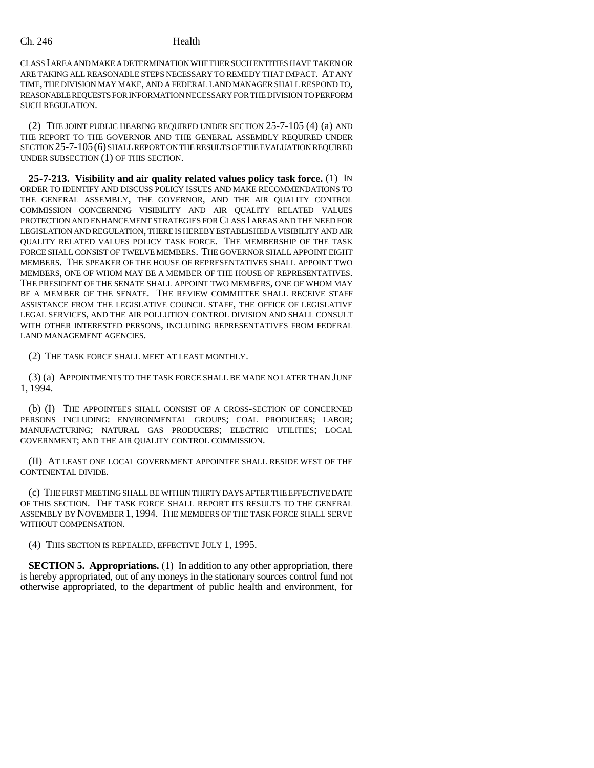CLASS I AREA AND MAKE A DETERMINATION WHETHER SUCH ENTITIES HAVE TAKEN OR ARE TAKING ALL REASONABLE STEPS NECESSARY TO REMEDY THAT IMPACT. AT ANY TIME, THE DIVISION MAY MAKE, AND A FEDERAL LAND MANAGER SHALL RESPOND TO, REASONABLE REQUESTS FOR INFORMATION NECESSARY FOR THE DIVISION TO PERFORM SUCH REGULATION.

(2) THE JOINT PUBLIC HEARING REQUIRED UNDER SECTION 25-7-105 (4) (a) AND THE REPORT TO THE GOVERNOR AND THE GENERAL ASSEMBLY REQUIRED UNDER SECTION 25-7-105(6) SHALL REPORT ON THE RESULTS OF THE EVALUATION REQUIRED UNDER SUBSECTION (1) OF THIS SECTION.

**25-7-213. Visibility and air quality related values policy task force.** (1) IN ORDER TO IDENTIFY AND DISCUSS POLICY ISSUES AND MAKE RECOMMENDATIONS TO THE GENERAL ASSEMBLY, THE GOVERNOR, AND THE AIR QUALITY CONTROL COMMISSION CONCERNING VISIBILITY AND AIR QUALITY RELATED VALUES PROTECTION AND ENHANCEMENT STRATEGIES FOR CLASS I AREAS AND THE NEED FOR LEGISLATION AND REGULATION, THERE IS HEREBY ESTABLISHED A VISIBILITY AND AIR QUALITY RELATED VALUES POLICY TASK FORCE. THE MEMBERSHIP OF THE TASK FORCE SHALL CONSIST OF TWELVE MEMBERS. THE GOVERNOR SHALL APPOINT EIGHT MEMBERS. THE SPEAKER OF THE HOUSE OF REPRESENTATIVES SHALL APPOINT TWO MEMBERS, ONE OF WHOM MAY BE A MEMBER OF THE HOUSE OF REPRESENTATIVES. THE PRESIDENT OF THE SENATE SHALL APPOINT TWO MEMBERS, ONE OF WHOM MAY BE A MEMBER OF THE SENATE. THE REVIEW COMMITTEE SHALL RECEIVE STAFF ASSISTANCE FROM THE LEGISLATIVE COUNCIL STAFF, THE OFFICE OF LEGISLATIVE LEGAL SERVICES, AND THE AIR POLLUTION CONTROL DIVISION AND SHALL CONSULT WITH OTHER INTERESTED PERSONS, INCLUDING REPRESENTATIVES FROM FEDERAL LAND MANAGEMENT AGENCIES.

(2) THE TASK FORCE SHALL MEET AT LEAST MONTHLY.

(3) (a) APPOINTMENTS TO THE TASK FORCE SHALL BE MADE NO LATER THAN JUNE 1, 1994.

(b) (I) THE APPOINTEES SHALL CONSIST OF A CROSS-SECTION OF CONCERNED PERSONS INCLUDING: ENVIRONMENTAL GROUPS; COAL PRODUCERS; LABOR; MANUFACTURING; NATURAL GAS PRODUCERS; ELECTRIC UTILITIES; LOCAL GOVERNMENT; AND THE AIR QUALITY CONTROL COMMISSION.

(II) AT LEAST ONE LOCAL GOVERNMENT APPOINTEE SHALL RESIDE WEST OF THE CONTINENTAL DIVIDE.

(c) THE FIRST MEETING SHALL BE WITHIN THIRTY DAYS AFTER THE EFFECTIVE DATE OF THIS SECTION. THE TASK FORCE SHALL REPORT ITS RESULTS TO THE GENERAL ASSEMBLY BY NOVEMBER 1, 1994. THE MEMBERS OF THE TASK FORCE SHALL SERVE WITHOUT COMPENSATION.

(4) THIS SECTION IS REPEALED, EFFECTIVE JULY 1, 1995.

**SECTION 5. Appropriations.** (1) In addition to any other appropriation, there is hereby appropriated, out of any moneys in the stationary sources control fund not otherwise appropriated, to the department of public health and environment, for